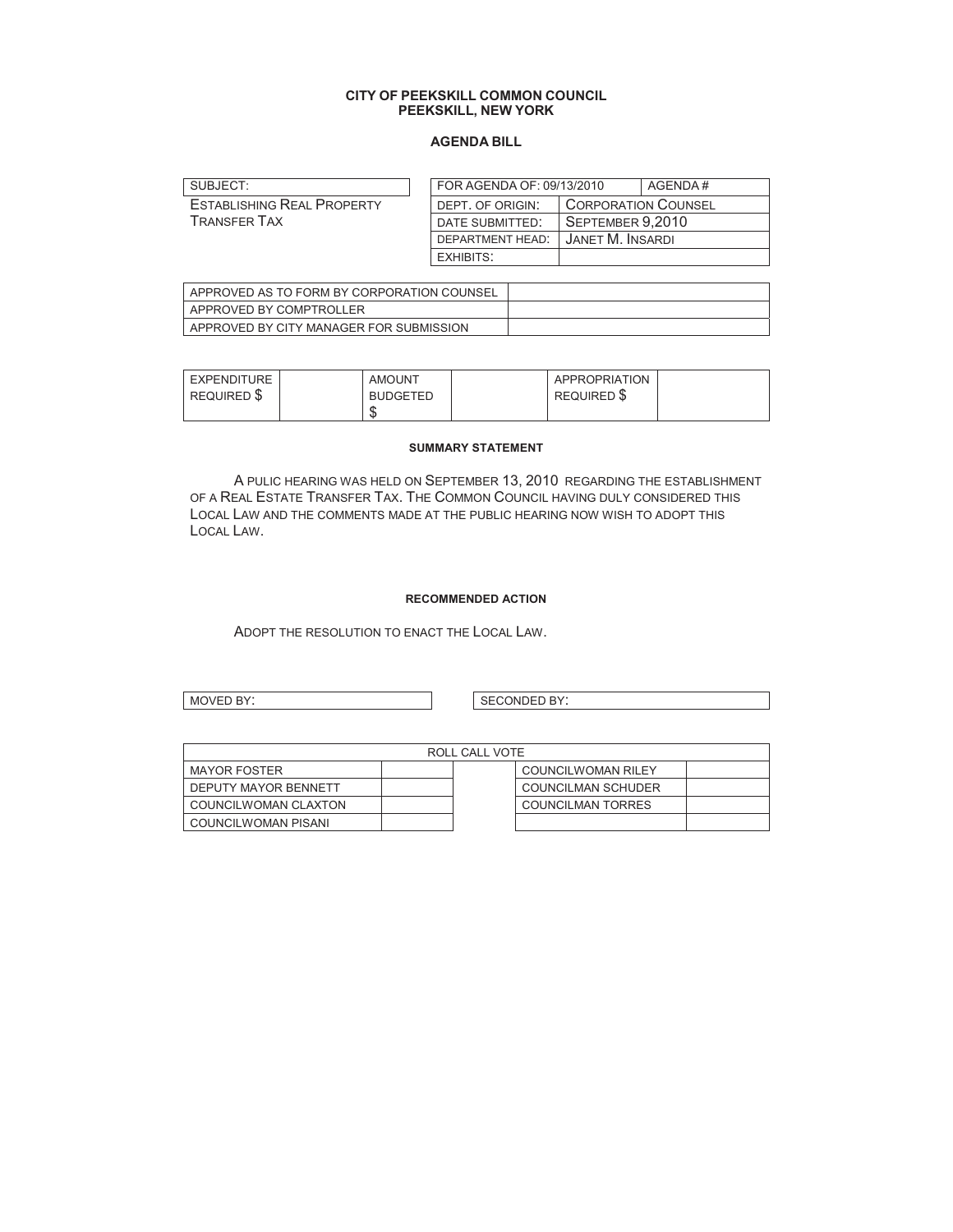#### **CITY OF PEEKSKILL COMMON COUNCIL PEEKSKILL, NEW YORK**

#### **AGENDA BILL**

| SUBJECT:                          | FOR AGENDA OF: 09/13/2010 |                  | AGENDA#                    |  |
|-----------------------------------|---------------------------|------------------|----------------------------|--|
| <b>ESTABLISHING REAL PROPERTY</b> | DEPT. OF ORIGIN:          |                  | <b>CORPORATION COUNSEL</b> |  |
| <b>TRANSFER TAX</b>               | DATE SUBMITTED:           | SEPTEMBER 9.2010 |                            |  |
|                                   | DEPARTMENT HEAD:          |                  | JANET M. INSARDI           |  |
|                                   | EXHIBITS:                 |                  |                            |  |

| APPROVED AS TO FORM BY CORPORATION COUNSEL |  |
|--------------------------------------------|--|
| APPROVED BY COMPTROLLER                    |  |
| APPROVED BY CITY MANAGER FOR SUBMISSION    |  |

| I EXPENDITURE | <b>AMOUNT</b>   | APPROPRIATION     |  |
|---------------|-----------------|-------------------|--|
| REQUIRED S    | <b>BUDGETED</b> | REQUIRED <b>S</b> |  |
|               | œ<br>۰D         |                   |  |

#### **SUMMARY STATEMENT**

 A PULIC HEARING WAS HELD ON SEPTEMBER 13, 2010 REGARDING THE ESTABLISHMENT OF A REAL ESTATE TRANSFER TAX. THE COMMON COUNCIL HAVING DULY CONSIDERED THIS LOCAL LAW AND THE COMMENTS MADE AT THE PUBLIC HEARING NOW WISH TO ADOPT THIS LOCAL LAW.

#### **RECOMMENDED ACTION**

ADOPT THE RESOLUTION TO ENACT THE LOCAL LAW.

MOVED BY: SECONDED BY:

| ROLL CALL VOTE       |  |  |                           |  |  |  |
|----------------------|--|--|---------------------------|--|--|--|
| MAYOR FOSTER         |  |  | <b>COUNCILWOMAN RILEY</b> |  |  |  |
| DEPUTY MAYOR BENNETT |  |  | <b>COUNCILMAN SCHUDER</b> |  |  |  |
| COUNCILWOMAN CLAXTON |  |  | COUNCILMAN TORRES         |  |  |  |
| COUNCILWOMAN PISANI  |  |  |                           |  |  |  |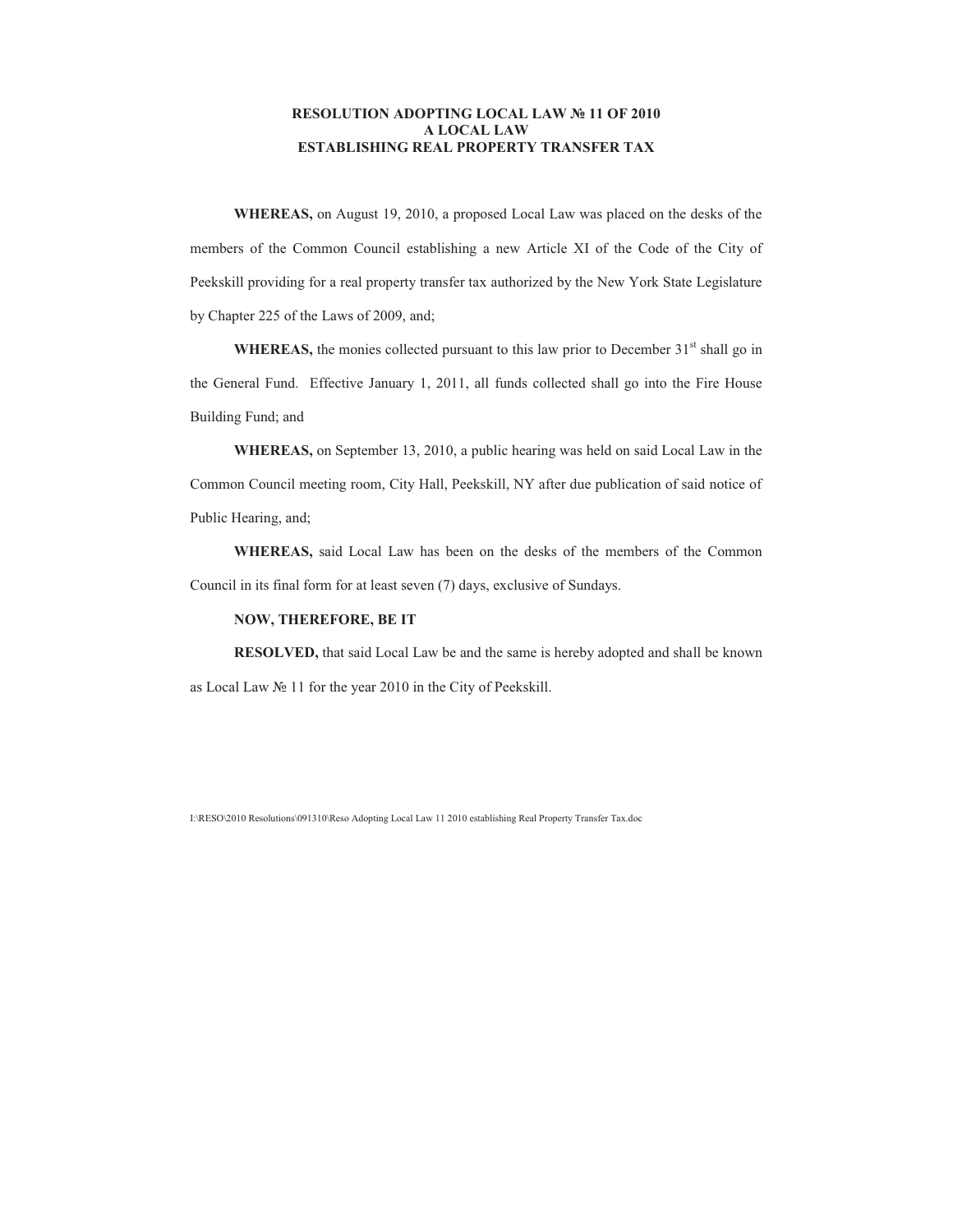#### **RESOLUTION ADOPTING LOCAL LAW № 11 OF 2010 A LOCAL LAW ESTABLISHING REAL PROPERTY TRANSFER TAX**

**WHEREAS,** on August 19, 2010, a proposed Local Law was placed on the desks of the members of the Common Council establishing a new Article XI of the Code of the City of Peekskill providing for a real property transfer tax authorized by the New York State Legislature by Chapter 225 of the Laws of 2009, and;

WHEREAS, the monies collected pursuant to this law prior to December 31<sup>st</sup> shall go in the General Fund. Effective January 1, 2011, all funds collected shall go into the Fire House Building Fund; and

**WHEREAS,** on September 13, 2010, a public hearing was held on said Local Law in the Common Council meeting room, City Hall, Peekskill, NY after due publication of said notice of Public Hearing, and;

**WHEREAS,** said Local Law has been on the desks of the members of the Common Council in its final form for at least seven (7) days, exclusive of Sundays.

#### **NOW, THEREFORE, BE IT**

 **RESOLVED,** that said Local Law be and the same is hereby adopted and shall be known as Local Law № 11 for the year 2010 in the City of Peekskill.

I:\RESO\2010 Resolutions\091310\Reso Adopting Local Law 11 2010 establishing Real Property Transfer Tax.doc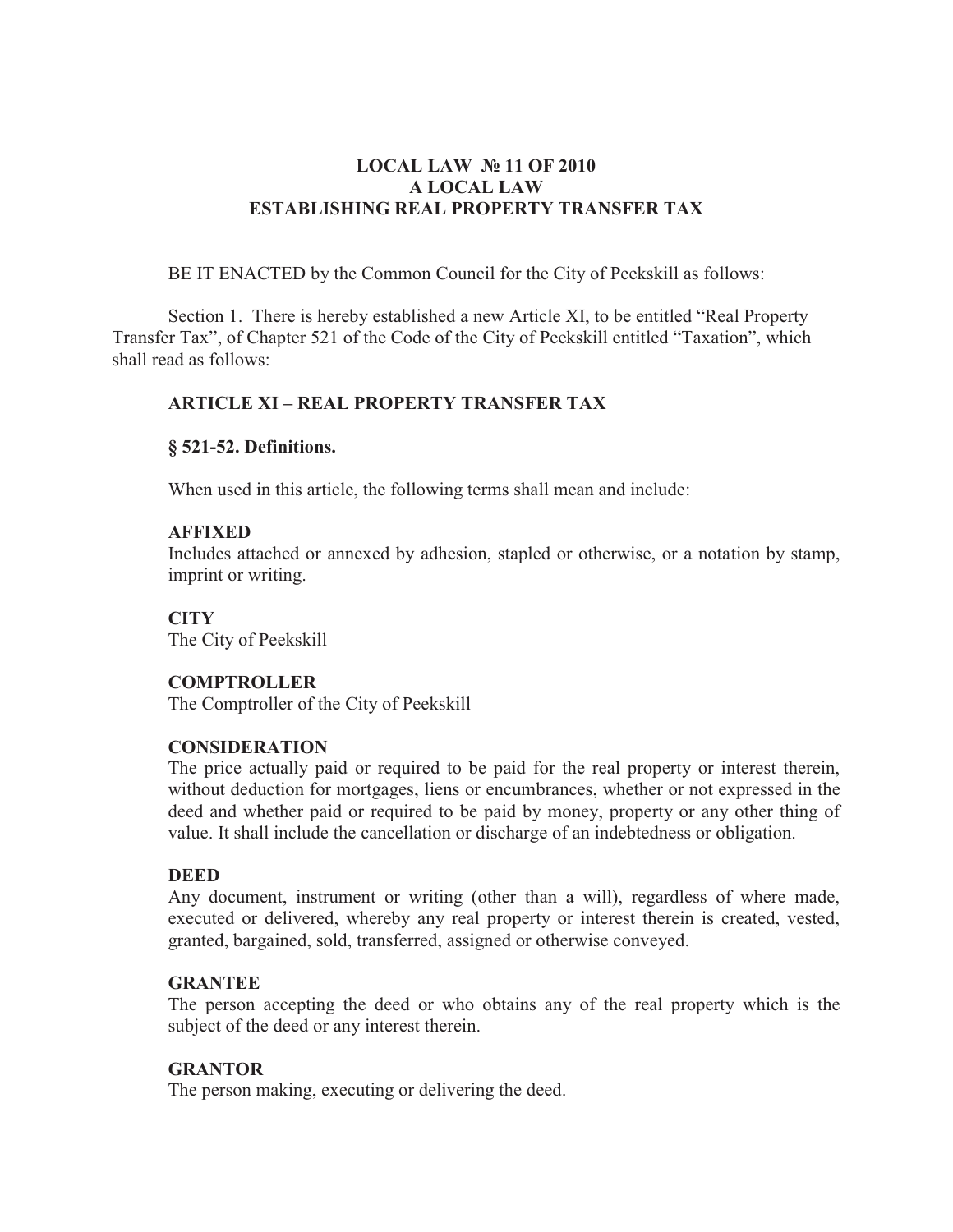## **LOCAL LAW № 11 OF 2010 A LOCAL LAW ESTABLISHING REAL PROPERTY TRANSFER TAX**

BE IT ENACTED by the Common Council for the City of Peekskill as follows:

Section 1. There is hereby established a new Article XI, to be entitled "Real Property Transfer Tax", of Chapter 521 of the Code of the City of Peekskill entitled "Taxation", which shall read as follows:

## **ARTICLE XI – REAL PROPERTY TRANSFER TAX**

#### **§ 521-52. Definitions.**

When used in this article, the following terms shall mean and include:

#### **AFFIXED**

Includes attached or annexed by adhesion, stapled or otherwise, or a notation by stamp, imprint or writing.

**CITY**  The City of Peekskill

#### **COMPTROLLER**

The Comptroller of the City of Peekskill

#### **CONSIDERATION**

The price actually paid or required to be paid for the real property or interest therein, without deduction for mortgages, liens or encumbrances, whether or not expressed in the deed and whether paid or required to be paid by money, property or any other thing of value. It shall include the cancellation or discharge of an indebtedness or obligation.

#### **DEED**

Any document, instrument or writing (other than a will), regardless of where made, executed or delivered, whereby any real property or interest therein is created, vested, granted, bargained, sold, transferred, assigned or otherwise conveyed.

#### **GRANTEE**

The person accepting the deed or who obtains any of the real property which is the subject of the deed or any interest therein.

## **GRANTOR**

The person making, executing or delivering the deed.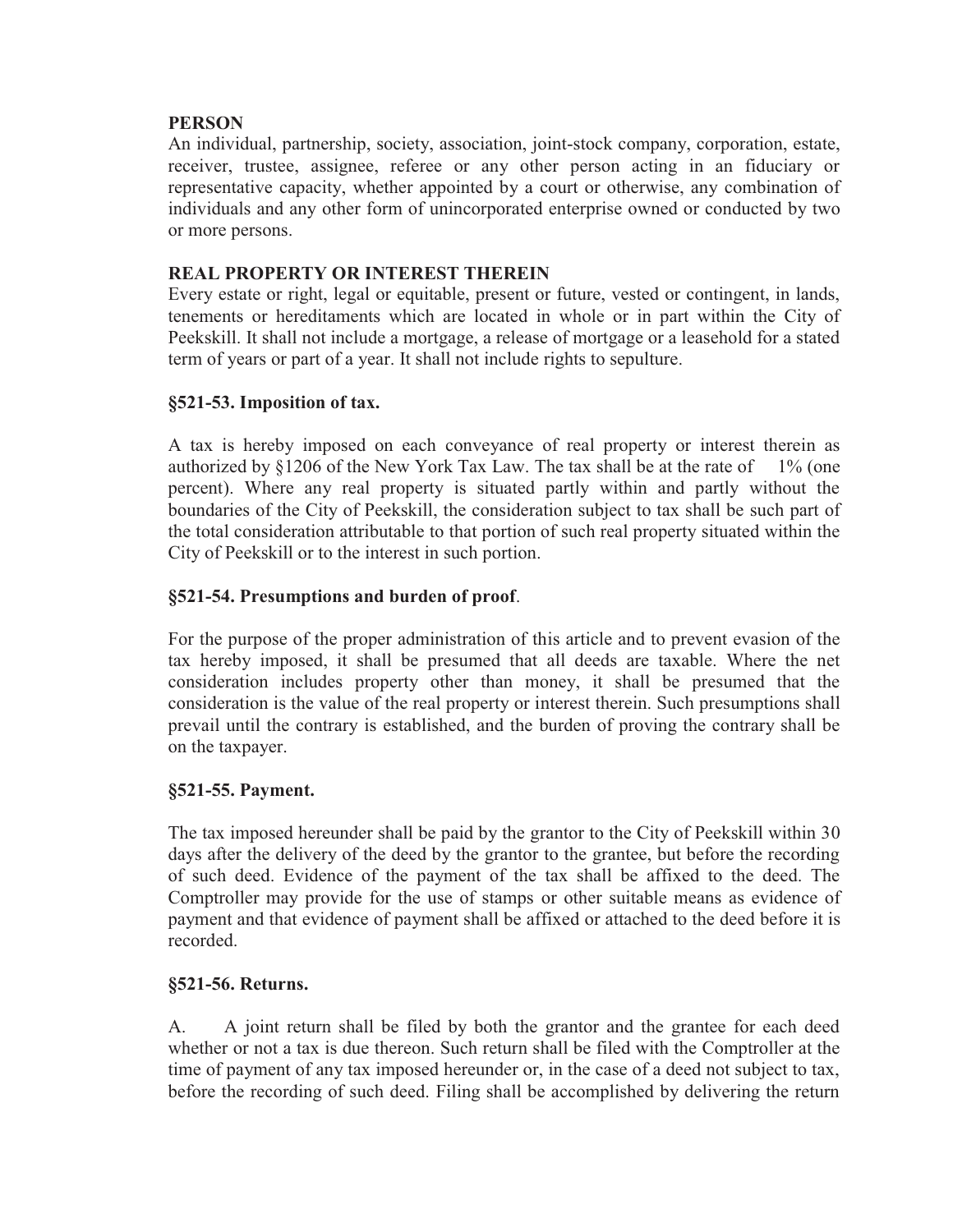## **PERSON**

An individual, partnership, society, association, joint-stock company, corporation, estate, receiver, trustee, assignee, referee or any other person acting in an fiduciary or representative capacity, whether appointed by a court or otherwise, any combination of individuals and any other form of unincorporated enterprise owned or conducted by two or more persons.

# **REAL PROPERTY OR INTEREST THEREIN**

Every estate or right, legal or equitable, present or future, vested or contingent, in lands, tenements or hereditaments which are located in whole or in part within the City of Peekskill. It shall not include a mortgage, a release of mortgage or a leasehold for a stated term of years or part of a year. It shall not include rights to sepulture.

## **§521-53. Imposition of tax.**

A tax is hereby imposed on each conveyance of real property or interest therein as authorized by  $§1206$  of the New York Tax Law. The tax shall be at the rate of 1% (one percent). Where any real property is situated partly within and partly without the boundaries of the City of Peekskill, the consideration subject to tax shall be such part of the total consideration attributable to that portion of such real property situated within the City of Peekskill or to the interest in such portion.

## **§521-54. Presumptions and burden of proof**.

For the purpose of the proper administration of this article and to prevent evasion of the tax hereby imposed, it shall be presumed that all deeds are taxable. Where the net consideration includes property other than money, it shall be presumed that the consideration is the value of the real property or interest therein. Such presumptions shall prevail until the contrary is established, and the burden of proving the contrary shall be on the taxpayer.

## **§521-55. Payment.**

The tax imposed hereunder shall be paid by the grantor to the City of Peekskill within 30 days after the delivery of the deed by the grantor to the grantee, but before the recording of such deed. Evidence of the payment of the tax shall be affixed to the deed. The Comptroller may provide for the use of stamps or other suitable means as evidence of payment and that evidence of payment shall be affixed or attached to the deed before it is recorded.

## **§521-56. Returns.**

A. A joint return shall be filed by both the grantor and the grantee for each deed whether or not a tax is due thereon. Such return shall be filed with the Comptroller at the time of payment of any tax imposed hereunder or, in the case of a deed not subject to tax, before the recording of such deed. Filing shall be accomplished by delivering the return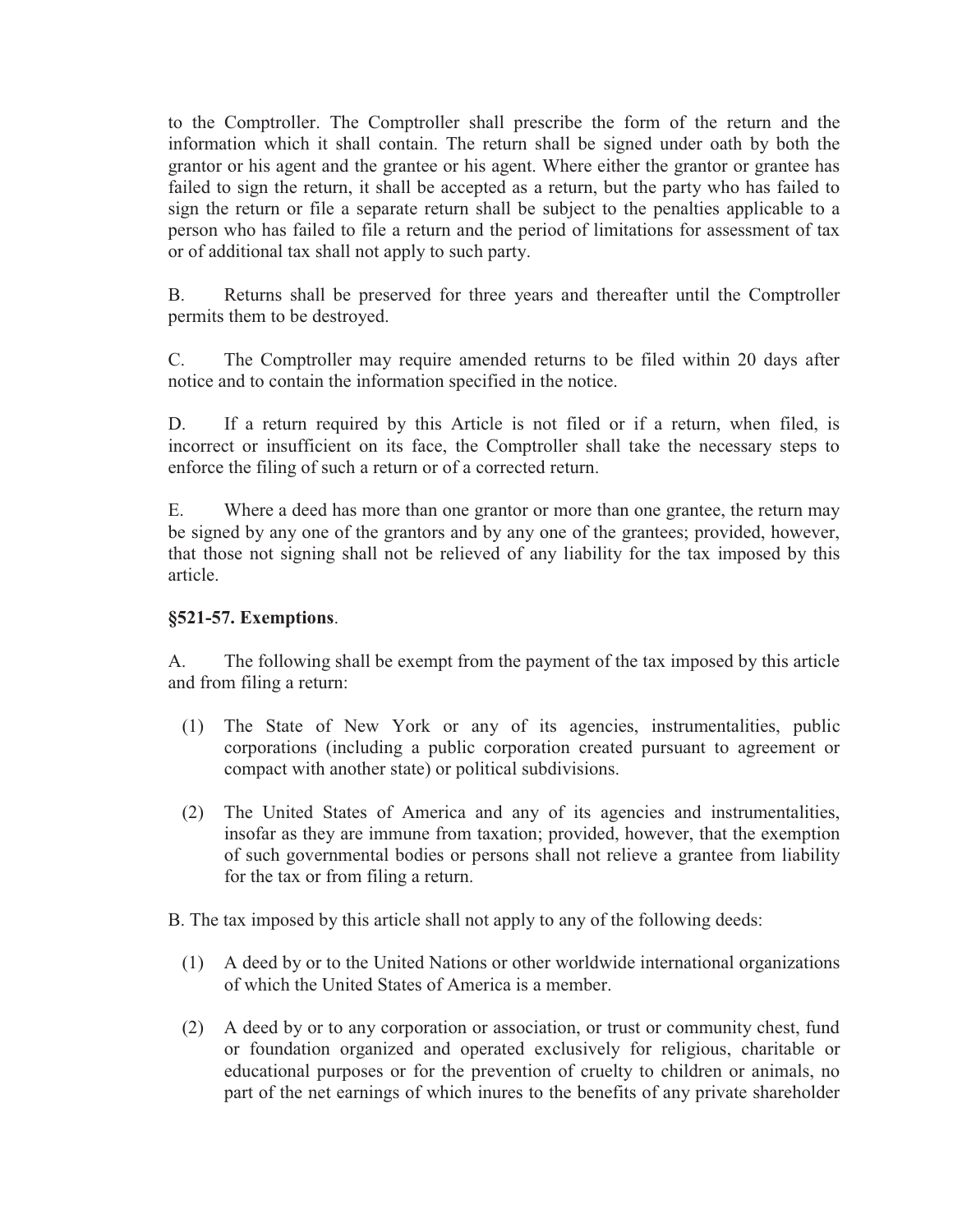to the Comptroller. The Comptroller shall prescribe the form of the return and the information which it shall contain. The return shall be signed under oath by both the grantor or his agent and the grantee or his agent. Where either the grantor or grantee has failed to sign the return, it shall be accepted as a return, but the party who has failed to sign the return or file a separate return shall be subject to the penalties applicable to a person who has failed to file a return and the period of limitations for assessment of tax or of additional tax shall not apply to such party.

B. Returns shall be preserved for three years and thereafter until the Comptroller permits them to be destroyed.

C. The Comptroller may require amended returns to be filed within 20 days after notice and to contain the information specified in the notice.

D. If a return required by this Article is not filed or if a return, when filed, is incorrect or insufficient on its face, the Comptroller shall take the necessary steps to enforce the filing of such a return or of a corrected return.

E. Where a deed has more than one grantor or more than one grantee, the return may be signed by any one of the grantors and by any one of the grantees; provided, however, that those not signing shall not be relieved of any liability for the tax imposed by this article.

# **§521-57. Exemptions**.

A. The following shall be exempt from the payment of the tax imposed by this article and from filing a return:

- (1) The State of New York or any of its agencies, instrumentalities, public corporations (including a public corporation created pursuant to agreement or compact with another state) or political subdivisions.
- (2) The United States of America and any of its agencies and instrumentalities, insofar as they are immune from taxation; provided, however, that the exemption of such governmental bodies or persons shall not relieve a grantee from liability for the tax or from filing a return.

B. The tax imposed by this article shall not apply to any of the following deeds:

- (1) A deed by or to the United Nations or other worldwide international organizations of which the United States of America is a member.
- (2) A deed by or to any corporation or association, or trust or community chest, fund or foundation organized and operated exclusively for religious, charitable or educational purposes or for the prevention of cruelty to children or animals, no part of the net earnings of which inures to the benefits of any private shareholder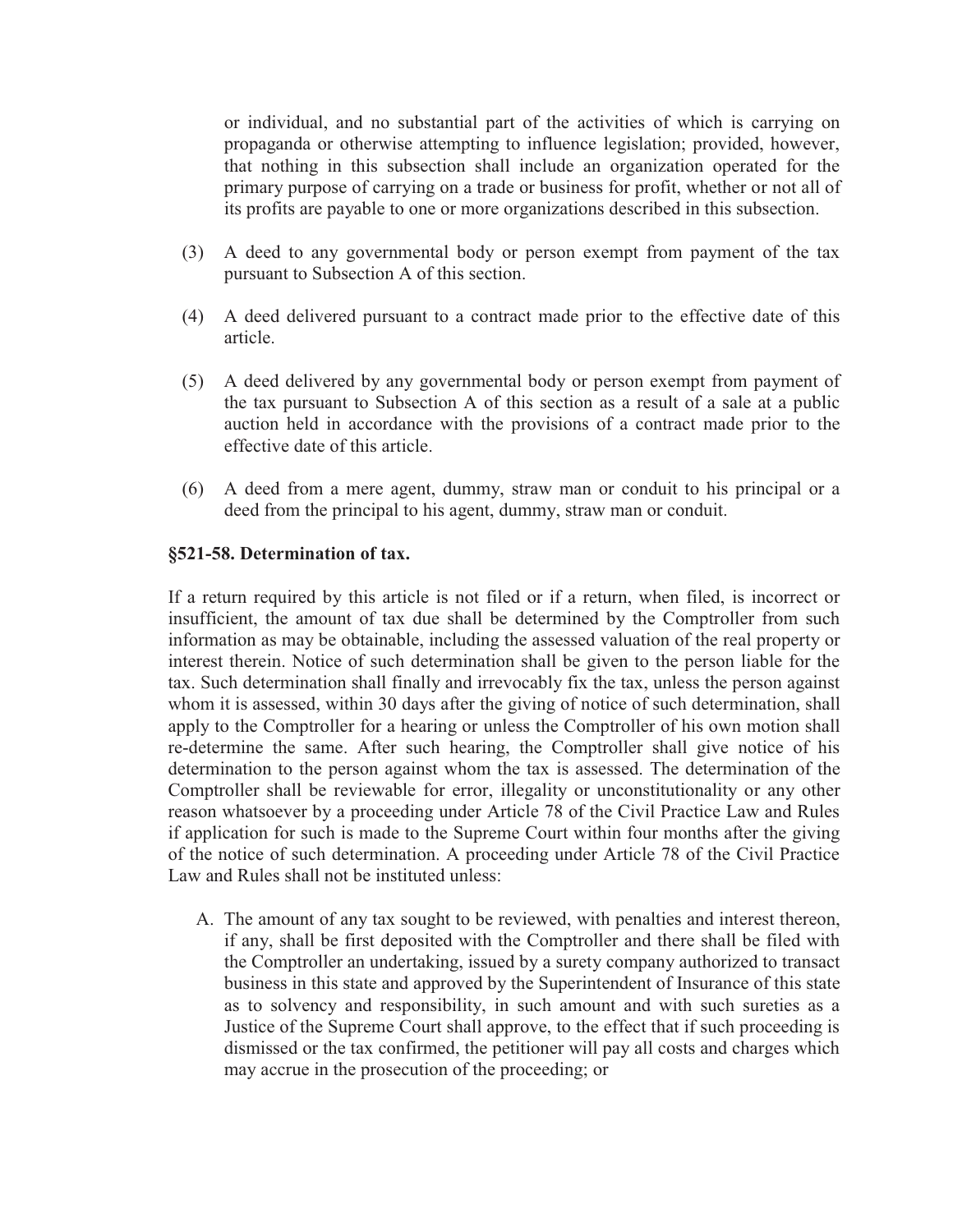or individual, and no substantial part of the activities of which is carrying on propaganda or otherwise attempting to influence legislation; provided, however, that nothing in this subsection shall include an organization operated for the primary purpose of carrying on a trade or business for profit, whether or not all of its profits are payable to one or more organizations described in this subsection.

- (3) A deed to any governmental body or person exempt from payment of the tax pursuant to Subsection A of this section.
- (4) A deed delivered pursuant to a contract made prior to the effective date of this article.
- (5) A deed delivered by any governmental body or person exempt from payment of the tax pursuant to Subsection A of this section as a result of a sale at a public auction held in accordance with the provisions of a contract made prior to the effective date of this article.
- (6) A deed from a mere agent, dummy, straw man or conduit to his principal or a deed from the principal to his agent, dummy, straw man or conduit.

### **§521-58. Determination of tax.**

If a return required by this article is not filed or if a return, when filed, is incorrect or insufficient, the amount of tax due shall be determined by the Comptroller from such information as may be obtainable, including the assessed valuation of the real property or interest therein. Notice of such determination shall be given to the person liable for the tax. Such determination shall finally and irrevocably fix the tax, unless the person against whom it is assessed, within 30 days after the giving of notice of such determination, shall apply to the Comptroller for a hearing or unless the Comptroller of his own motion shall re-determine the same. After such hearing, the Comptroller shall give notice of his determination to the person against whom the tax is assessed. The determination of the Comptroller shall be reviewable for error, illegality or unconstitutionality or any other reason whatsoever by a proceeding under Article 78 of the Civil Practice Law and Rules if application for such is made to the Supreme Court within four months after the giving of the notice of such determination. A proceeding under Article 78 of the Civil Practice Law and Rules shall not be instituted unless:

A. The amount of any tax sought to be reviewed, with penalties and interest thereon, if any, shall be first deposited with the Comptroller and there shall be filed with the Comptroller an undertaking, issued by a surety company authorized to transact business in this state and approved by the Superintendent of Insurance of this state as to solvency and responsibility, in such amount and with such sureties as a Justice of the Supreme Court shall approve, to the effect that if such proceeding is dismissed or the tax confirmed, the petitioner will pay all costs and charges which may accrue in the prosecution of the proceeding; or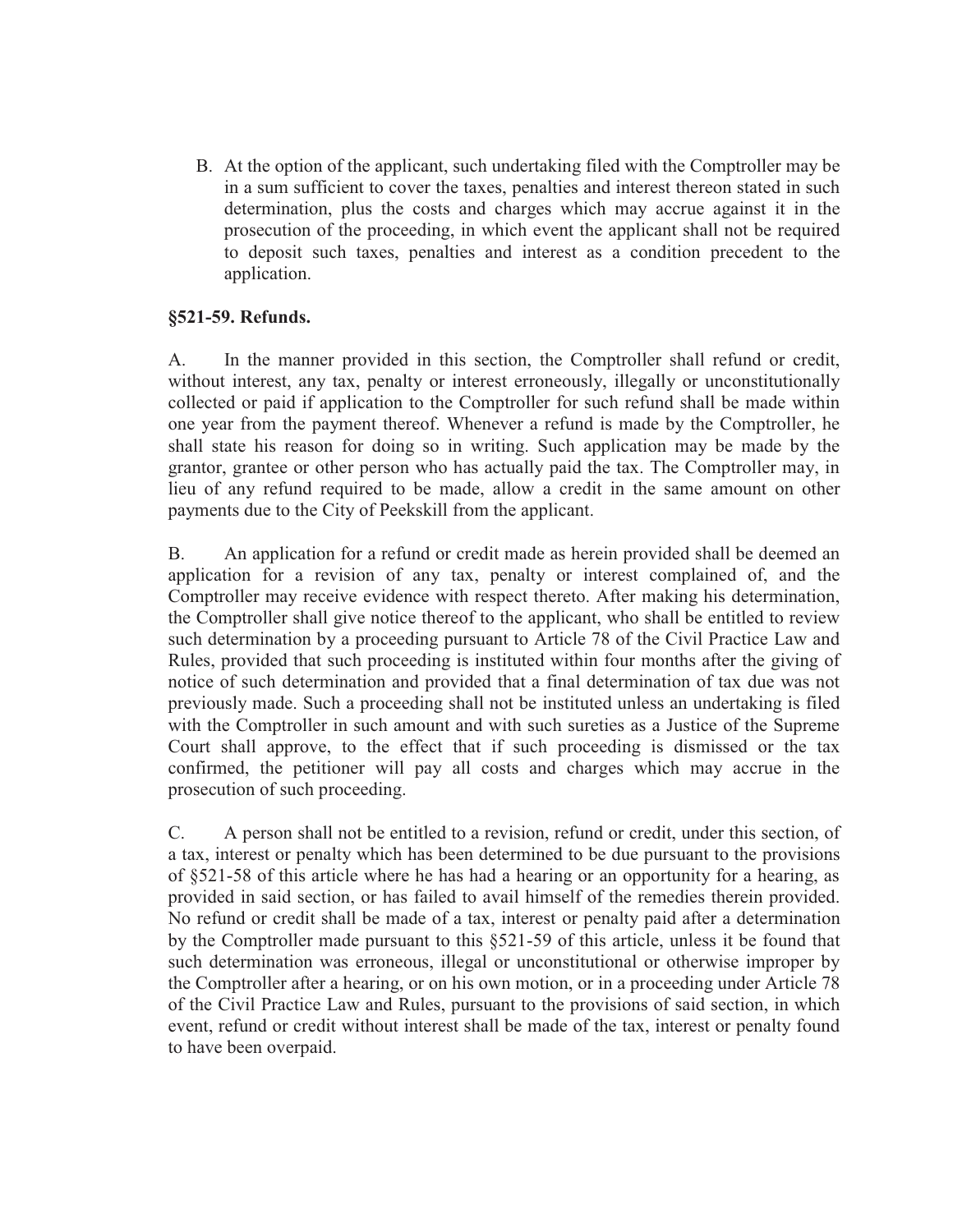B. At the option of the applicant, such undertaking filed with the Comptroller may be in a sum sufficient to cover the taxes, penalties and interest thereon stated in such determination, plus the costs and charges which may accrue against it in the prosecution of the proceeding, in which event the applicant shall not be required to deposit such taxes, penalties and interest as a condition precedent to the application.

## **§521-59. Refunds.**

A. In the manner provided in this section, the Comptroller shall refund or credit, without interest, any tax, penalty or interest erroneously, illegally or unconstitutionally collected or paid if application to the Comptroller for such refund shall be made within one year from the payment thereof. Whenever a refund is made by the Comptroller, he shall state his reason for doing so in writing. Such application may be made by the grantor, grantee or other person who has actually paid the tax. The Comptroller may, in lieu of any refund required to be made, allow a credit in the same amount on other payments due to the City of Peekskill from the applicant.

B. An application for a refund or credit made as herein provided shall be deemed an application for a revision of any tax, penalty or interest complained of, and the Comptroller may receive evidence with respect thereto. After making his determination, the Comptroller shall give notice thereof to the applicant, who shall be entitled to review such determination by a proceeding pursuant to Article 78 of the Civil Practice Law and Rules, provided that such proceeding is instituted within four months after the giving of notice of such determination and provided that a final determination of tax due was not previously made. Such a proceeding shall not be instituted unless an undertaking is filed with the Comptroller in such amount and with such sureties as a Justice of the Supreme Court shall approve, to the effect that if such proceeding is dismissed or the tax confirmed, the petitioner will pay all costs and charges which may accrue in the prosecution of such proceeding.

C. A person shall not be entitled to a revision, refund or credit, under this section, of a tax, interest or penalty which has been determined to be due pursuant to the provisions of §521-58 of this article where he has had a hearing or an opportunity for a hearing, as provided in said section, or has failed to avail himself of the remedies therein provided. No refund or credit shall be made of a tax, interest or penalty paid after a determination by the Comptroller made pursuant to this §521-59 of this article, unless it be found that such determination was erroneous, illegal or unconstitutional or otherwise improper by the Comptroller after a hearing, or on his own motion, or in a proceeding under Article 78 of the Civil Practice Law and Rules, pursuant to the provisions of said section, in which event, refund or credit without interest shall be made of the tax, interest or penalty found to have been overpaid.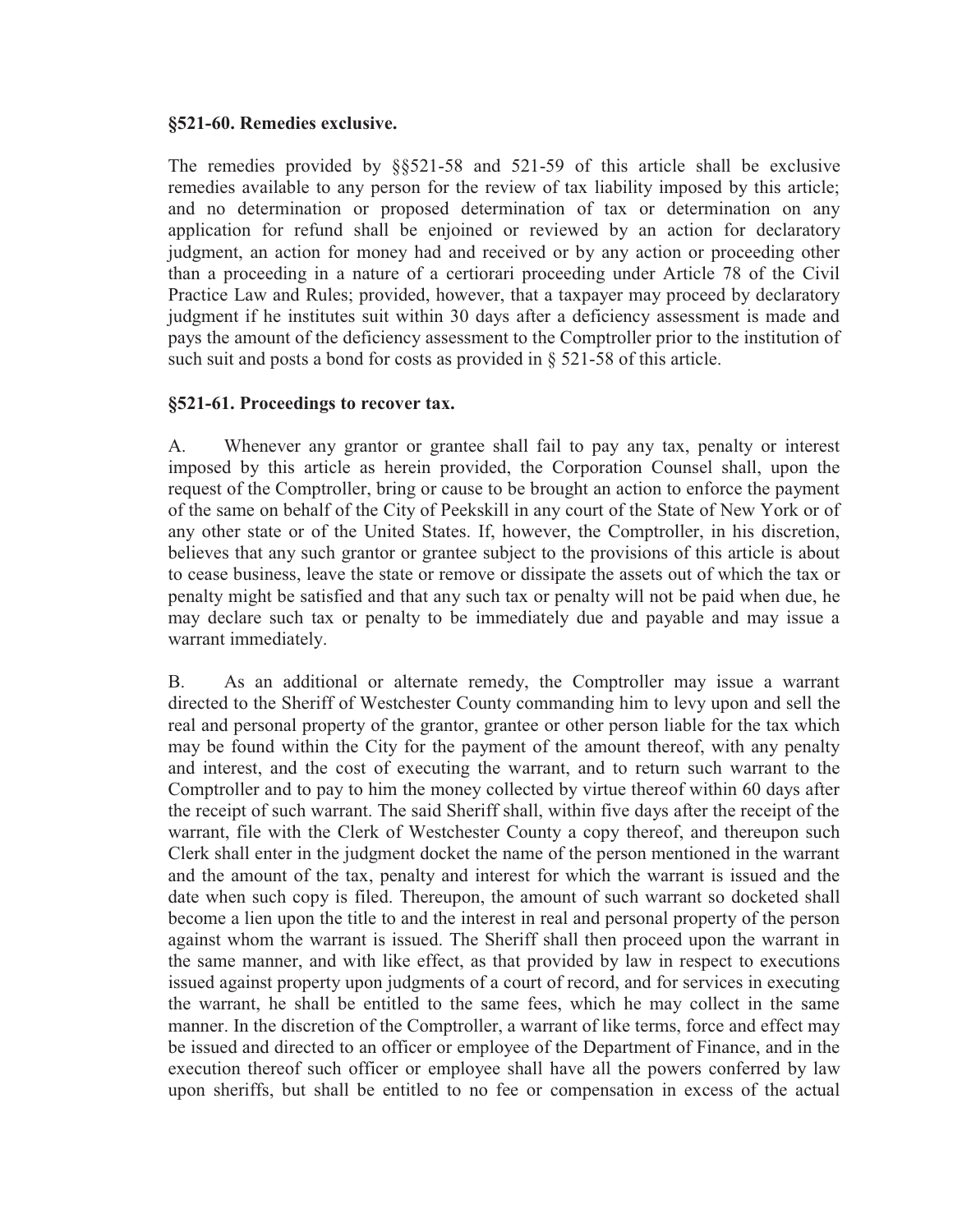### **§521-60. Remedies exclusive.**

The remedies provided by §§521-58 and 521-59 of this article shall be exclusive remedies available to any person for the review of tax liability imposed by this article; and no determination or proposed determination of tax or determination on any application for refund shall be enjoined or reviewed by an action for declaratory judgment, an action for money had and received or by any action or proceeding other than a proceeding in a nature of a certiorari proceeding under Article 78 of the Civil Practice Law and Rules; provided, however, that a taxpayer may proceed by declaratory judgment if he institutes suit within 30 days after a deficiency assessment is made and pays the amount of the deficiency assessment to the Comptroller prior to the institution of such suit and posts a bond for costs as provided in § 521-58 of this article.

## **§521-61. Proceedings to recover tax.**

A. Whenever any grantor or grantee shall fail to pay any tax, penalty or interest imposed by this article as herein provided, the Corporation Counsel shall, upon the request of the Comptroller, bring or cause to be brought an action to enforce the payment of the same on behalf of the City of Peekskill in any court of the State of New York or of any other state or of the United States. If, however, the Comptroller, in his discretion, believes that any such grantor or grantee subject to the provisions of this article is about to cease business, leave the state or remove or dissipate the assets out of which the tax or penalty might be satisfied and that any such tax or penalty will not be paid when due, he may declare such tax or penalty to be immediately due and payable and may issue a warrant immediately.

B. As an additional or alternate remedy, the Comptroller may issue a warrant directed to the Sheriff of Westchester County commanding him to levy upon and sell the real and personal property of the grantor, grantee or other person liable for the tax which may be found within the City for the payment of the amount thereof, with any penalty and interest, and the cost of executing the warrant, and to return such warrant to the Comptroller and to pay to him the money collected by virtue thereof within 60 days after the receipt of such warrant. The said Sheriff shall, within five days after the receipt of the warrant, file with the Clerk of Westchester County a copy thereof, and thereupon such Clerk shall enter in the judgment docket the name of the person mentioned in the warrant and the amount of the tax, penalty and interest for which the warrant is issued and the date when such copy is filed. Thereupon, the amount of such warrant so docketed shall become a lien upon the title to and the interest in real and personal property of the person against whom the warrant is issued. The Sheriff shall then proceed upon the warrant in the same manner, and with like effect, as that provided by law in respect to executions issued against property upon judgments of a court of record, and for services in executing the warrant, he shall be entitled to the same fees, which he may collect in the same manner. In the discretion of the Comptroller, a warrant of like terms, force and effect may be issued and directed to an officer or employee of the Department of Finance, and in the execution thereof such officer or employee shall have all the powers conferred by law upon sheriffs, but shall be entitled to no fee or compensation in excess of the actual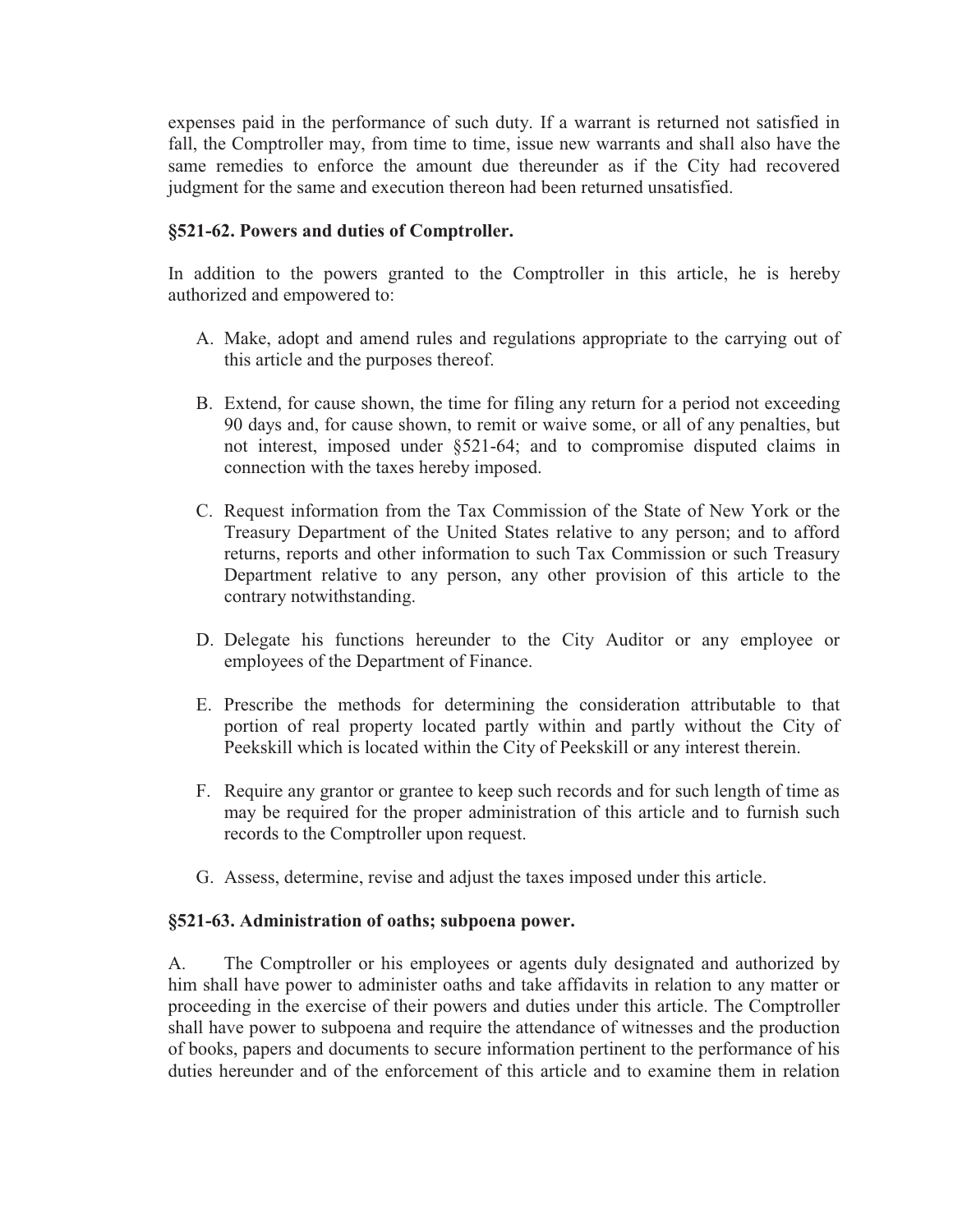expenses paid in the performance of such duty. If a warrant is returned not satisfied in fall, the Comptroller may, from time to time, issue new warrants and shall also have the same remedies to enforce the amount due thereunder as if the City had recovered judgment for the same and execution thereon had been returned unsatisfied.

## **§521-62. Powers and duties of Comptroller.**

In addition to the powers granted to the Comptroller in this article, he is hereby authorized and empowered to:

- A. Make, adopt and amend rules and regulations appropriate to the carrying out of this article and the purposes thereof.
- B. Extend, for cause shown, the time for filing any return for a period not exceeding 90 days and, for cause shown, to remit or waive some, or all of any penalties, but not interest, imposed under §521-64; and to compromise disputed claims in connection with the taxes hereby imposed.
- C. Request information from the Tax Commission of the State of New York or the Treasury Department of the United States relative to any person; and to afford returns, reports and other information to such Tax Commission or such Treasury Department relative to any person, any other provision of this article to the contrary notwithstanding.
- D. Delegate his functions hereunder to the City Auditor or any employee or employees of the Department of Finance.
- E. Prescribe the methods for determining the consideration attributable to that portion of real property located partly within and partly without the City of Peekskill which is located within the City of Peekskill or any interest therein.
- F. Require any grantor or grantee to keep such records and for such length of time as may be required for the proper administration of this article and to furnish such records to the Comptroller upon request.
- G. Assess, determine, revise and adjust the taxes imposed under this article.

## **§521-63. Administration of oaths; subpoena power.**

A. The Comptroller or his employees or agents duly designated and authorized by him shall have power to administer oaths and take affidavits in relation to any matter or proceeding in the exercise of their powers and duties under this article. The Comptroller shall have power to subpoena and require the attendance of witnesses and the production of books, papers and documents to secure information pertinent to the performance of his duties hereunder and of the enforcement of this article and to examine them in relation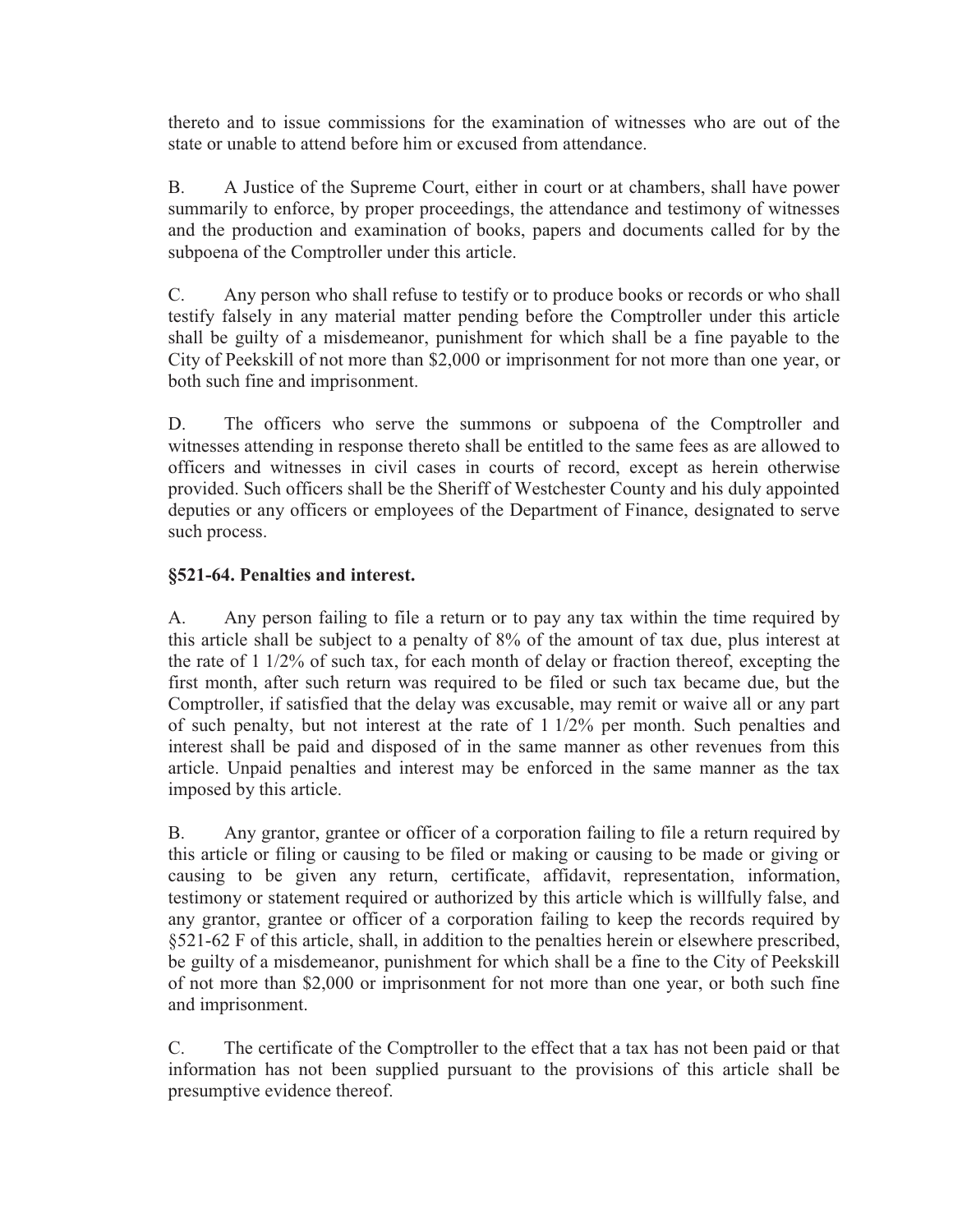thereto and to issue commissions for the examination of witnesses who are out of the state or unable to attend before him or excused from attendance.

B. A Justice of the Supreme Court, either in court or at chambers, shall have power summarily to enforce, by proper proceedings, the attendance and testimony of witnesses and the production and examination of books, papers and documents called for by the subpoena of the Comptroller under this article.

C. Any person who shall refuse to testify or to produce books or records or who shall testify falsely in any material matter pending before the Comptroller under this article shall be guilty of a misdemeanor, punishment for which shall be a fine payable to the City of Peekskill of not more than \$2,000 or imprisonment for not more than one year, or both such fine and imprisonment.

D. The officers who serve the summons or subpoena of the Comptroller and witnesses attending in response thereto shall be entitled to the same fees as are allowed to officers and witnesses in civil cases in courts of record, except as herein otherwise provided. Such officers shall be the Sheriff of Westchester County and his duly appointed deputies or any officers or employees of the Department of Finance, designated to serve such process.

# **§521-64. Penalties and interest.**

A. Any person failing to file a return or to pay any tax within the time required by this article shall be subject to a penalty of 8% of the amount of tax due, plus interest at the rate of 1 1/2% of such tax, for each month of delay or fraction thereof, excepting the first month, after such return was required to be filed or such tax became due, but the Comptroller, if satisfied that the delay was excusable, may remit or waive all or any part of such penalty, but not interest at the rate of 1 1/2% per month. Such penalties and interest shall be paid and disposed of in the same manner as other revenues from this article. Unpaid penalties and interest may be enforced in the same manner as the tax imposed by this article.

B. Any grantor, grantee or officer of a corporation failing to file a return required by this article or filing or causing to be filed or making or causing to be made or giving or causing to be given any return, certificate, affidavit, representation, information, testimony or statement required or authorized by this article which is willfully false, and any grantor, grantee or officer of a corporation failing to keep the records required by §521-62 F of this article, shall, in addition to the penalties herein or elsewhere prescribed, be guilty of a misdemeanor, punishment for which shall be a fine to the City of Peekskill of not more than \$2,000 or imprisonment for not more than one year, or both such fine and imprisonment.

C. The certificate of the Comptroller to the effect that a tax has not been paid or that information has not been supplied pursuant to the provisions of this article shall be presumptive evidence thereof.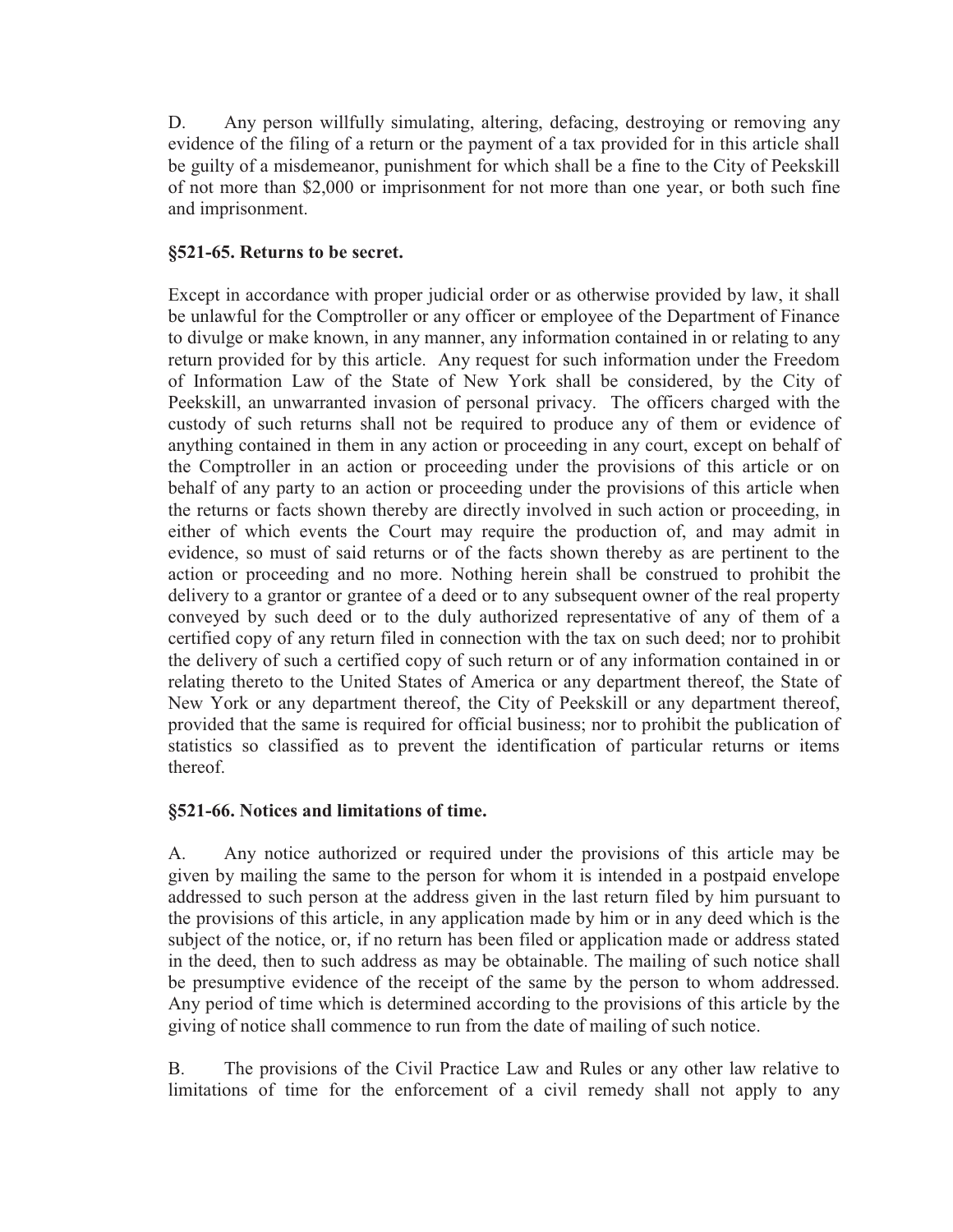D. Any person willfully simulating, altering, defacing, destroying or removing any evidence of the filing of a return or the payment of a tax provided for in this article shall be guilty of a misdemeanor, punishment for which shall be a fine to the City of Peekskill of not more than \$2,000 or imprisonment for not more than one year, or both such fine and imprisonment.

# **§521-65. Returns to be secret.**

Except in accordance with proper judicial order or as otherwise provided by law, it shall be unlawful for the Comptroller or any officer or employee of the Department of Finance to divulge or make known, in any manner, any information contained in or relating to any return provided for by this article. Any request for such information under the Freedom of Information Law of the State of New York shall be considered, by the City of Peekskill, an unwarranted invasion of personal privacy. The officers charged with the custody of such returns shall not be required to produce any of them or evidence of anything contained in them in any action or proceeding in any court, except on behalf of the Comptroller in an action or proceeding under the provisions of this article or on behalf of any party to an action or proceeding under the provisions of this article when the returns or facts shown thereby are directly involved in such action or proceeding, in either of which events the Court may require the production of, and may admit in evidence, so must of said returns or of the facts shown thereby as are pertinent to the action or proceeding and no more. Nothing herein shall be construed to prohibit the delivery to a grantor or grantee of a deed or to any subsequent owner of the real property conveyed by such deed or to the duly authorized representative of any of them of a certified copy of any return filed in connection with the tax on such deed; nor to prohibit the delivery of such a certified copy of such return or of any information contained in or relating thereto to the United States of America or any department thereof, the State of New York or any department thereof, the City of Peekskill or any department thereof, provided that the same is required for official business; nor to prohibit the publication of statistics so classified as to prevent the identification of particular returns or items thereof.

# **§521-66. Notices and limitations of time.**

A. Any notice authorized or required under the provisions of this article may be given by mailing the same to the person for whom it is intended in a postpaid envelope addressed to such person at the address given in the last return filed by him pursuant to the provisions of this article, in any application made by him or in any deed which is the subject of the notice, or, if no return has been filed or application made or address stated in the deed, then to such address as may be obtainable. The mailing of such notice shall be presumptive evidence of the receipt of the same by the person to whom addressed. Any period of time which is determined according to the provisions of this article by the giving of notice shall commence to run from the date of mailing of such notice.

B. The provisions of the Civil Practice Law and Rules or any other law relative to limitations of time for the enforcement of a civil remedy shall not apply to any